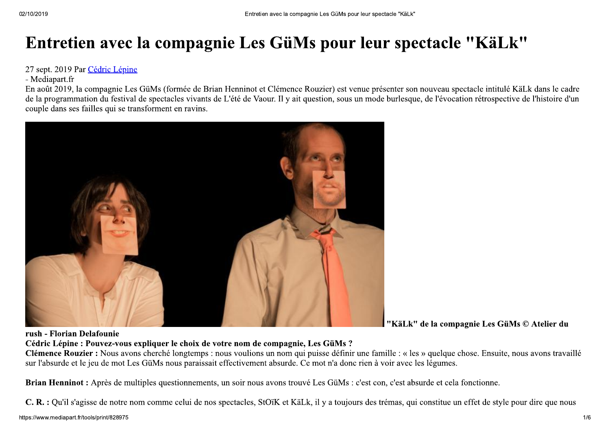## Entretien avec la compagnie Les GüMs pour leur spectacle "KäLk"

27 sept. 2019 Par Cédric Lépine

- Mediapart.fr

En août 2019, la compagnie Les GüMs (formée de Brian Henninot et Clémence Rouzier) est venue présenter son nouveau spectacle intitulé KäLk dans le cadre de la programmation du festival de spectacles vivants de L'été de Vaour. Il y ait question, sous un mode burlesque, de l'évocation rétrospective de l'histoire d'un couple dans ses failles qui se transforment en ravins.



"KäLk" de la compagnie Les GüMs © Atelier du

rush - Florian Delafounie

#### Cédric Lépine : Pouvez-vous expliquer le choix de votre nom de compagnie, Les GüMs ?

Clémence Rouzier : Nous avons cherché longtemps : nous voulions un nom qui puisse définir une famille : « les » quelque chose. Ensuite, nous avons travaillé sur l'absurde et le jeu de mot Les GüMs nous paraissait effectivement absurde. Ce mot n'a donc rien à voir avec les légumes.

Brian Henninot: Après de multiples questionnements, un soir nous avons trouvé Les GüMs : c'est con, c'est absurde et cela fonctionne.

C. R. : Qu'il s'agisse de notre nom comme celui de nos spectacles, StOïK et KäLk, il y a toujours des trémas, qui constitue un effet de style pour dire que nous https://www.mediapart.fr/tools/print/828975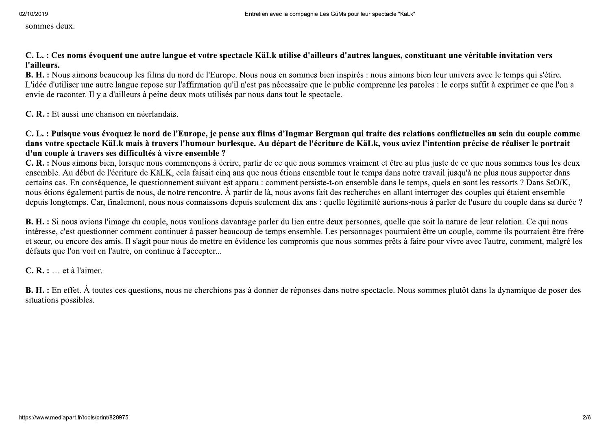sommes deux.

#### C. L. : Ces noms évoquent une autre langue et votre spectacle KäLk utilise d'ailleurs d'autres langues, constituant une véritable invitation vers l'ailleurs.

B. H. : Nous aimons beaucoup les films du nord de l'Europe. Nous nous en sommes bien inspirés : nous aimons bien leur univers avec le temps qui s'étire. L'idée d'utiliser une autre langue repose sur l'affirmation qu'il n'est pas nécessaire que le public comprenne les paroles : le corps suffit à exprimer ce que l'on a envie de raconter. Il y a d'ailleurs à peine deux mots utilisés par nous dans tout le spectacle.

#### C. R. : Et aussi une chanson en néerlandais.

#### C. L. : Puisque vous évoquez le nord de l'Europe, je pense aux films d'Ingmar Bergman qui traite des relations conflictuelles au sein du couple comme dans votre spectacle KäLk mais à travers l'humour burlesque. Au départ de l'écriture de KäLk, vous aviez l'intention précise de réaliser le portrait d'un couple à travers ses difficultés à vivre ensemble ?

C. R. : Nous aimons bien, lorsque nous commençons à écrire, partir de ce que nous sommes vraiment et être au plus juste de ce que nous sommes tous les deux ensemble. Au début de l'écriture de KäLK, cela faisait cinq ans que nous étions ensemble tout le temps dans notre travail jusqu'à ne plus nous supporter dans certains cas. En conséquence, le questionnement suivant est apparu : comment persiste-t-on ensemble dans le temps, quels en sont les ressorts ? Dans StOiK, nous étions également partis de nous, de notre rencontre. À partir de là, nous avons fait des recherches en allant interroger des couples qui étaient ensemble depuis longtemps. Car, finalement, nous nous connaissons depuis seulement dix ans : quelle légitimité aurions-nous à parler de l'usure du couple dans sa durée ?

**B. H.**: Si nous avions l'image du couple, nous voulions davantage parler du lien entre deux personnes, quelle que soit la nature de leur relation. Ce qui nous intéresse, c'est questionner comment continuer à passer beaucoup de temps ensemble. Les personnages pourraient être un couple, comme ils pourraient être frère et sœur, ou encore des amis. Il s'agit pour nous de mettre en évidence les compromis que nous sommes prêts à faire pour vivre avec l'autre, comment, malgré les défauts que l'on voit en l'autre, on continue à l'accepter...

#### $C, R, \ldots$  et à l'aimer.

**B. H.**: En effet. À toutes ces questions, nous ne cherchions pas à donner de réponses dans notre spectacle. Nous sommes plutôt dans la dynamique de poser des situations possibles.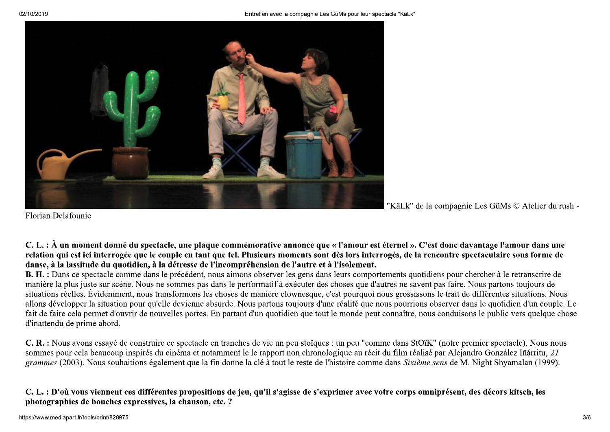

TRANS THE TRANS THE TRANS THE TRANS THE TRANS THE TRANS THE TRANS THE TRANS THE TRANS THE TRANS THE TRANS THE TRANS THE TRANS THE TRANS THE TRANS THAT AN AN ORDER THE SCHOOL TRANS THAT AS the part of the set of the set of

Florian Delafounie<br>  $\mathbb{R}$ . L.: A un moment donné du spectacle, une plaque commémorative annonce que « l'amour est éternel ». C'est donc davantage l'amour dans une<br>
relation qui est ici interrogée que le couple en tant **Example 19**<br>
"KäLk" de la compagnie Les GüMs  $\otimes$  Atelier du unshance du maniferant de la compagnie de la compagnie Les GüMs  $\otimes$  Atelier du rush  $\mathbb{C}$ . L. : À un moment donné du spectacle, une plaque commémorative **Example 19**<br>
Solution Delafounie<br>
Solution Delafounie du spectacle, une plaque commémorative annonce que « l'amour est éternel ». C'est donc e<br>
relation qui est ci interrogée que le couple en tant que tel. Plusieurs mome "Kälk" de la compagnie Les GüMs © Alclier du rush-<br>C. L. : À un moment donné du spectacle, une plaque commémorative annonce que « l'amour est éternel ». C'est donc davantage l'amour dans une<br>relation qui est lei interrogé Florian Delafounie<br>C. L.: À un moment donné du spectacle, une plaque commémorative annonce que « l'amour est éternel ». C'est donc davantage l'amour dans une<br>relation qui est ici interregée que le couple en tant que tel. C. L. : À un moment donné du spectacle, une plaque commémorative annonce que « l'amour est éternel ». C'est donc davantage l'amour dans une relation qui est ti in terrogée que le couple en tant que tel. Plusieurs moments C. L. : À un moment donné du spectacle, une plaque commémorative annonce que « l'amour est éternel ». C'est donc davantage l'amour dans une relation qui est ici interrogée que le couple en tant que tel. Plusieurs momenten **C. L. : À un moment donné du spectacle, une place relation qui est ici interrogée que le couple en tan danse, à la lassitude du quotidien, à la détresse de <b>B.** H. : Dans ce spectacle comme dans le précédent, manière la danse, à la lassitude du quotidion, à la détresse de l'incompréhension de l'autre et à l'isolement.<br> **B. H.:** Dans ce specieule comme dans le précédent, nous aimons observer les gens dans leurs comportements quoi maire la **E.** H. : Dans ce spectacle comme dans le précédent, nous aimons observer les gens dans leurs comportements quotidiens pour chercher à le praisine entimiere la plus issues sur scène. Nous situations releals is existen situ manière la plus juste sur scène. Nous ne sommes pas dans le performaif à exécuter des choses que d'autres ne savent pas faire. Nous partons toujours de situation forelles. Évidement, nous transformons les choses de manière

Fait de faire cela permet d'ouvrir de nouvelles portes. En partant d'un quotidien que tout le monde peut connaître, nous conduisons le public vers quelque chose d'inattendu de prime abord.<br> **C. R. :** Nous avons essayé de c d'inattendu de prime abord.<br>
C. R. : Nous avons essayé de construire ce spectacle en tranches de vie un peu stoïd sommes pour cela beaucoup inspirés du cinéma et notamment le le rapport non chrander grammes (2003). Nous so

# *grammes* (2003). Nous so<br> **C. L. : D'où vous vienne<br>
photographies de bouch**<br>
https://www.mediapart.fr/tools/print/8 grammes (2003). Nous souhaitions egalen<br> **C. L. : D'où vous viennent ces différent<br>
photographies de bouches expressives, l<br>
https://www.mediapart.fr/tools/print/828975** 2003). Nous souhaitions egalement<br>où vous viennent ces différentes p<br>phies de bouches expressives, la cl an (1999).<br> **ch, les**<br>  $\frac{3}{6}$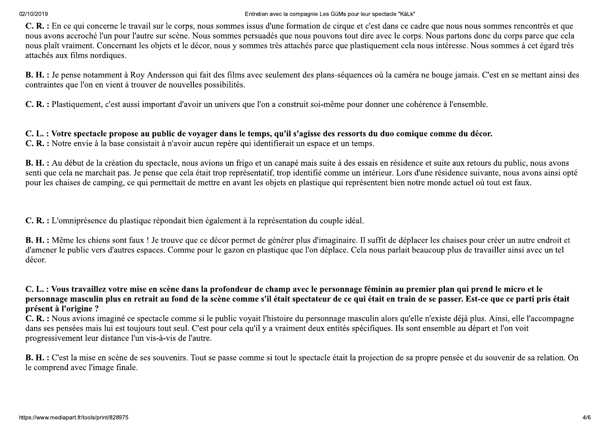02/10/2019

Entretien avec la compagnie Les GüMs pour leur spectacle "KäLk"

C. R. : En ce qui concerne le travail sur le corps, nous sommes issus d'une formation de cirque et c'est dans ce cadre que nous nous sommes rencontrés et que nous avons accroché l'un pour l'autre sur scène. Nous sommes persuadés que nous pouvons tout dire avec le corps. Nous partons donc du corps parce que cela nous plaît vraiment. Concernant les objets et le décor, nous y sommes très attachés parce que plastiquement cela nous intéresse. Nous sommes à cet égard très attachés aux films nordiques.

**B. H. :** Je pense notamment à Roy Andersson qui fait des films avec seulement des plans-séquences où la caméra ne bouge jamais. C'est en se mettant ainsi des contraintes que l'on en vient à trouver de nouvelles possibilités.

C. R. : Plastiquement, c'est aussi important d'avoir un univers que l'on a construit soi-même pour donner une cohérence à l'ensemble.

#### C. L. : Votre spectacle propose au public de voyager dans le temps, qu'il s'agisse des ressorts du duo comique comme du décor.

C. R. : Notre envie à la base consistait à n'avoir aucun repère qui identifierait un espace et un temps.

B. H. : Au début de la création du spectacle, nous avions un frigo et un canapé mais suite à des essais en résidence et suite aux retours du public, nous avons senti que cela ne marchait pas. Je pense que cela était trop représentatif, trop identifié comme un intérieur. Lors d'une résidence suivante, nous avons ainsi opté pour les chaises de camping, ce qui permettait de mettre en avant les objets en plastique qui représentent bien notre monde actuel où tout est faux.

C.R. : L'omniprésence du plastique répondait bien également à la représentation du couple idéal.

B. H. : Même les chiens sont faux ! Je trouve que ce décor permet de générer plus d'imaginaire. Il suffit de déplacer les chaises pour créer un autre endroit et d'amener le public vers d'autres espaces. Comme pour le gazon en plastique que l'on déplace. Cela nous parlait beaucoup plus de travailler ainsi avec un tel décor.

#### C. L. : Vous travaillez votre mise en scène dans la profondeur de champ avec le personnage féminin au premier plan qui prend le micro et le personnage masculin plus en retrait au fond de la scène comme s'il était spectateur de ce qui était en train de se passer. Est-ce que ce parti pris était présent à l'origine ?

C. R. : Nous avions imaginé ce spectacle comme si le public voyait l'histoire du personnage masculin alors qu'elle n'existe déjà plus. Ainsi, elle l'accompagne dans ses pensées mais lui est toujours tout seul. C'est pour cela qu'il y a vraiment deux entités spécifiques. Ils sont ensemble au départ et l'on voit progressivement leur distance l'un vis-à-vis de l'autre.

**B. H. :** C'est la mise en scène de ses souvenirs. Tout se passe comme si tout le spectacle était la projection de sa propre pensée et du souvenir de sa relation. On le comprend avec l'image finale.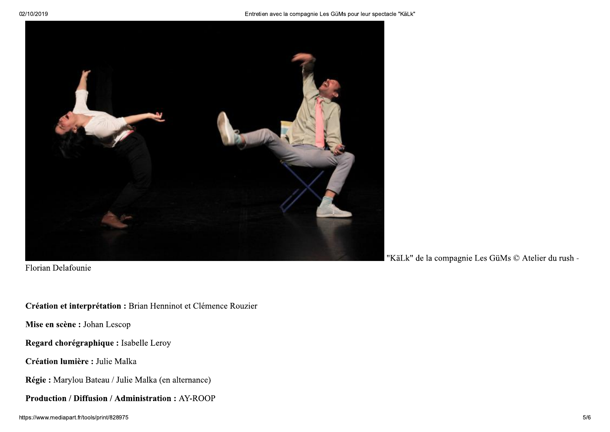

Florian Delafounie

#### Création et interprétation : Brian Henninot et Clémence Rouzier

Mise en scène : Johan Lescop

Regard chorégraphique : Isabelle Leroy

Création lumière : Julie Malka

Régie : Marylou Bateau / Julie Malka (en alternance)

**Production / Diffusion / Administration: AY-ROOP** 

"KäLk" de la compagnie Les GüMs © Atelier du rush -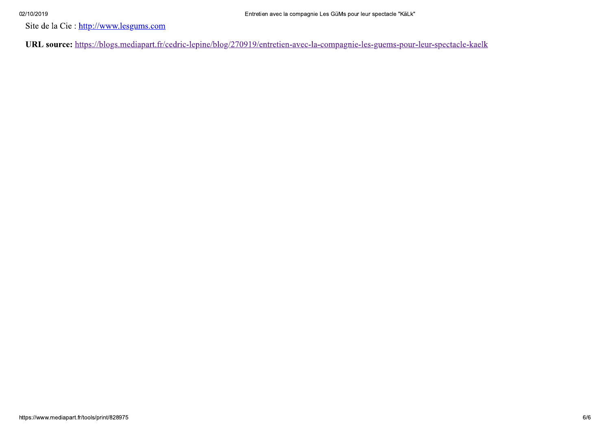#### 02/10/2019

Site de la Cie : http://www.lesgums.com

URL source: https://blogs.mediapart.fr/cedric-lepine/blog/270919/entretien-avec-la-compagnie-les-guems-pour-leur-spectacle-kaelk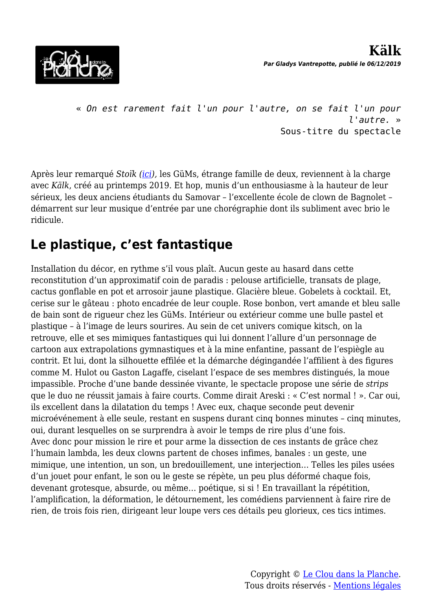

« *On est rarement fait l'un pour l'autre, on se fait l'un pour l'autre.* » Sous-titre du spectacle

Après leur remarqué *Stoïk [\(ici](http://www.lecloudanslaplanche.com/stoik/)),* les GüMs, étrange famille de deux, reviennent à la charge avec *Kälk*, créé au printemps 2019. Et hop, munis d'un enthousiasme à la hauteur de leur sérieux, les deux anciens étudiants du Samovar – l'excellente école de clown de Bagnolet – démarrent sur leur musique d'entrée par une chorégraphie dont ils subliment avec brio le ridicule.

### **Le plastique, c'est fantastique**

Installation du décor, en rythme s'il vous plaît. Aucun geste au hasard dans cette reconstitution d'un approximatif coin de paradis : pelouse artificielle, transats de plage, cactus gonflable en pot et arrosoir jaune plastique. Glacière bleue. Gobelets à cocktail. Et, cerise sur le gâteau : photo encadrée de leur couple. Rose bonbon, vert amande et bleu salle de bain sont de rigueur chez les GüMs. Intérieur ou extérieur comme une bulle pastel et plastique – à l'image de leurs sourires. Au sein de cet univers comique kitsch, on la retrouve, elle et ses mimiques fantastiques qui lui donnent l'allure d'un personnage de cartoon aux extrapolations gymnastiques et à la mine enfantine, passant de l'espiègle au contrit. Et lui, dont la silhouette effilée et la démarche dégingandée l'affilient à des figures comme M. Hulot ou Gaston Lagaffe, ciselant l'espace de ses membres distingués, la moue impassible. Proche d'une bande dessinée vivante, le spectacle propose une série de *strips* que le duo ne réussit jamais à faire courts. Comme dirait Areski : « C'est normal ! ». Car oui, ils excellent dans la dilatation du temps ! Avec eux, chaque seconde peut devenir microévénement à elle seule, restant en suspens durant cinq bonnes minutes – cinq minutes, oui, durant lesquelles on se surprendra à avoir le temps de rire plus d'une fois. Avec donc pour mission le rire et pour arme la dissection de ces instants de grâce chez l'humain lambda, les deux clowns partent de choses infimes, banales : un geste, une mimique, une intention, un son, un bredouillement, une interjection… Telles les piles usées d'un jouet pour enfant, le son ou le geste se répète, un peu plus déformé chaque fois, devenant grotesque, absurde, ou même… poétique, si si ! En travaillant la répétition, l'amplification, la déformation, le détournement, les comédiens parviennent à faire rire de rien, de trois fois rien, dirigeant leur loupe vers ces détails peu glorieux, ces tics intimes.